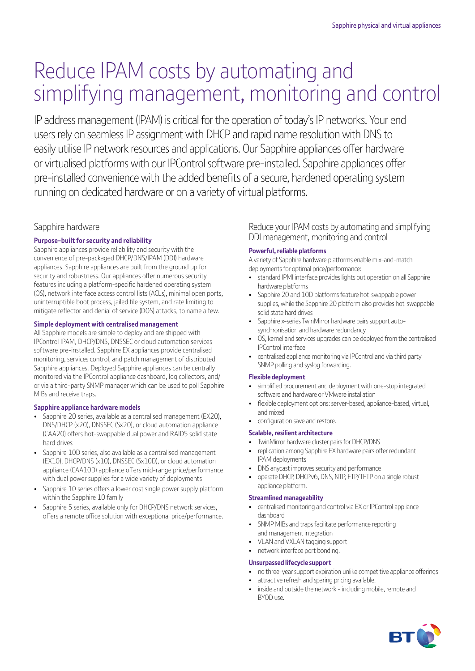# Reduce IPAM costs by automating and simplifying management, monitoring and control

IP address management (IPAM) is critical for the operation of today's IP networks. Your end users rely on seamless IP assignment with DHCP and rapid name resolution with DNS to easily utilise IP network resources and applications. Our Sapphire appliances offer hardware or virtualised platforms with our IPControl software pre-installed. Sapphire appliances offer pre-installed convenience with the added benefits of a secure, hardened operating system running on dedicated hardware or on a variety of virtual platforms.

## Sapphire hardware

## **Purpose-built for security and reliability**

Sapphire appliances provide reliability and security with the convenience of pre-packaged DHCP/DNS/IPAM (DDI) hardware appliances. Sapphire appliances are built from the ground up for security and robustness. Our appliances offer numerous security features including a platform-specific hardened operating system (OS), network interface access control lists (ACLs), minimal open ports, uninterruptible boot process, jailed file system, and rate limiting to mitigate reflector and denial of service (DOS) attacks, to name a few.

#### **Simple deployment with centralised management**

All Sapphire models are simple to deploy and are shipped with IPControl IPAM, DHCP/DNS, DNSSEC or cloud automation services software pre-installed. Sapphire EX appliances provide centralised monitoring, services control, and patch management of distributed Sapphire appliances. Deployed Sapphire appliances can be centrally monitored via the IPControl appliance dashboard, log collectors, and/ or via a third-party SNMP manager which can be used to poll Sapphire MIBs and receive traps.

#### **Sapphire appliance hardware models**

- Sapphire 20 series, available as a centralised management (EX20), DNS/DHCP (x20), DNSSEC (Sx20), or cloud automation appliance (CAA20) offers hot-swappable dual power and RAID5 solid state hard drives
- Sapphire 10D series, also available as a centralised management (EX10), DHCP/DNS (x10), DNSSEC (Sx10D), or cloud automation appliance (CAA10D) appliance offers mid-range price/performance with dual power supplies for a wide variety of deployments
- Sapphire 10 series offers a lower cost single power supply platform within the Sapphire 10 family
- Sapphire 5 series, available only for DHCP/DNS network services, offers a remote office solution with exceptional price/performance.

Reduce your IPAM costs by automating and simplifying DDI management, monitoring and control

#### **Powerful, reliable platforms**

A variety of Sapphire hardware platforms enable mix-and-match deployments for optimal price/performance:

- standard IPMI interface provides lights out operation on all Sapphire hardware platforms
- Sapphire 20 and 10D platforms feature hot-swappable power supplies, while the Sapphire 20 platform also provides hot-swappable solid state hard drives
- Sapphire x-series TwinMirror hardware pairs support autosynchronisation and hardware redundancy
- OS, kernel and services upgrades can be deployed from the centralised IPControl interface
- centralised appliance monitoring via IPControl and via third party SNMP polling and syslog forwarding.

#### **Flexible deployment**

- simplified procurement and deployment with one-stop integrated software and hardware or VMware installation
- flexible deployment options: server-based, appliance-based, virtual, and mixed
- configuration save and restore.

#### **Scalable, resilient architecture**

- TwinMirror hardware cluster pairs for DHCP/DNS
- replication among Sapphire EX hardware pairs offer redundant IPAM deployments
- DNS anycast improves security and performance
- operate DHCP, DHCPv6, DNS, NTP, FTP/TFTP on a single robust appliance platform.

#### **Streamlined manageability**

- centralised monitoring and control via EX or IPControl appliance dashboard
- SNMP MIBs and traps facilitate performance reporting and management integration
- VLAN and VXLAN tagging support
- network interface port bonding.

#### **Unsurpassed lifecycle support**

- no three-year support expiration unlike competitive appliance offerings
- attractive refresh and sparing pricing available.
- inside and outside the network including mobile, remote and BYOD use.